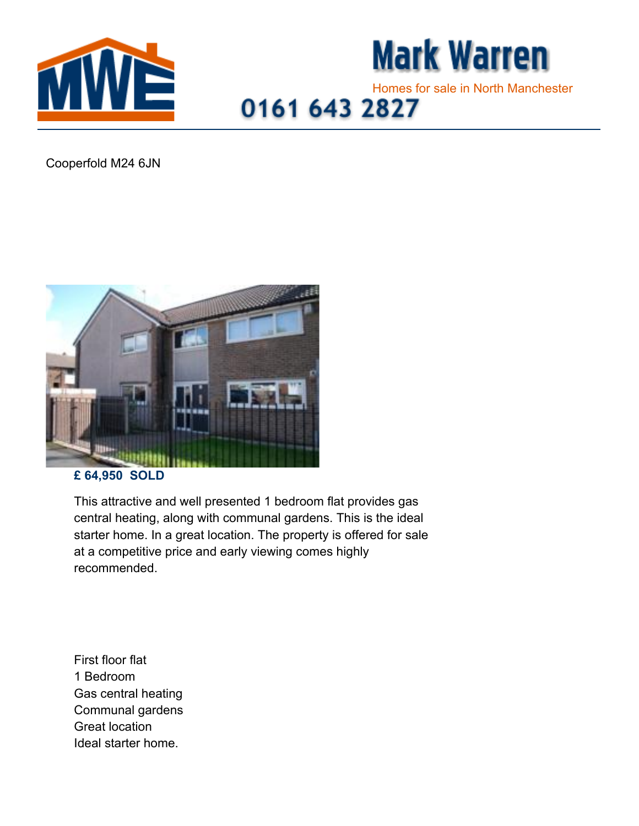



## Homes for sale in North Manchester<br>0161 643 2827

Cooperfold M24 6JN



## **£ 64,950 SOLD**

This attractive and well presented 1 bedroom flat provides gas central heating, along with communal gardens. This is the ideal starter home. In a great location. The property is offered for sale at a competitive price and early viewing comes highly recommended.

First floor flat 1 Bedroom Gas central heating Communal gardens Great location Ideal starter home.